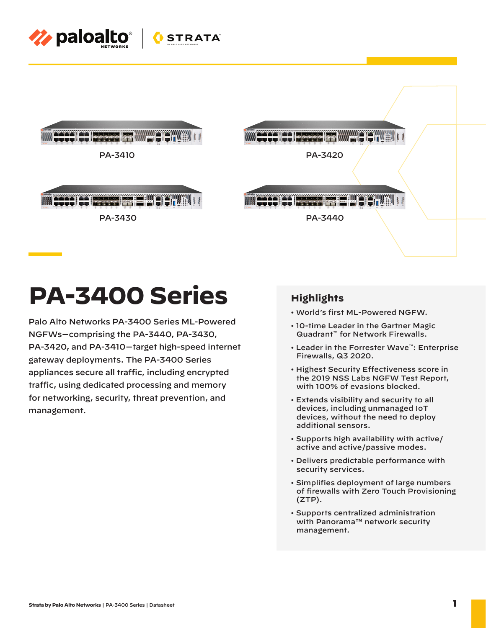



# **PA-3400 Series**

Palo Alto Networks PA-3400 Series ML-Powered NGFWs—comprising the PA-3440, PA-3430, PA-3420, and PA-3410—target high-speed internet gateway deployments. The PA-3400 Series appliances secure all traffic, including encrypted traffic, using dedicated processing and memory for networking, security, threat prevention, and management.

## **Highlights**

- World's first ML-Powered NGFW.
- 10-time Leader in the Gartner Magic Quadrant™ for Network Firewalls.
- Leader in the Forrester Wave™: Enterprise Firewalls, Q3 2020.
- Highest Security Effectiveness score in the 2019 NSS Labs NGFW Test Report, with 100% of evasions blocked.
- Extends visibility and security to all devices, including unmanaged IoT devices, without the need to deploy additional sensors.
- Supports high availability with active/ active and active/passive modes.
- Delivers predictable performance with security services.
- Simplifies deployment of large numbers of firewalls with Zero Touch Provisioning (ZTP).
- Supports centralized administration with Panorama™ network security management.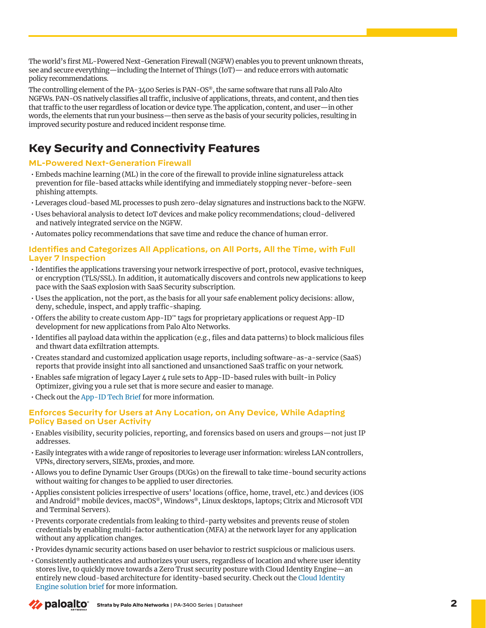The world's first ML-Powered Next-Generation Firewall (NGFW) enables you to prevent unknown threats, see and secure everything—including the Internet of Things (IoT)— and reduce errors with automatic policy recommendations.

The controlling element of the PA-3400 Series is PAN-OS®, the same software that runs all Palo Alto NGFWs. PAN-OS natively classifies all traffic, inclusive of applications, threats, and content, and then ties that traffic to the user regardless of location or device type. The application, content, and user—in other words, the elements that run your business—then serve as the basis of your security policies, resulting in improved security posture and reduced incident response time.

# **Key Security and Connectivity Features**

#### **ML-Powered Next-Generation Firewall**

- Embeds machine learning (ML) in the core of the firewall to provide inline signatureless attack prevention for file-based attacks while identifying and immediately stopping never-before-seen phishing attempts.
- Leverages cloud-based ML processes to push zero-delay signatures and instructions back to the NGFW.
- Uses behavioral analysis to detect IoT devices and make policy recommendations; cloud-delivered and natively integrated service on the NGFW.
- Automates policy recommendations that save time and reduce the chance of human error.

#### **Identifies and Categorizes All Applications, on All Ports, All the Time, with Full Layer 7 Inspection**

- Identifies the applications traversing your network irrespective of port, protocol, evasive techniques, or encryption (TLS/SSL). In addition, it automatically discovers and controls new applications to keep pace with the SaaS explosion with SaaS Security subscription.
- Uses the application, not the port, as the basis for all your safe enablement policy decisions: allow, deny, schedule, inspect, and apply traffic-shaping.
- Offers the ability to create custom App-ID™ tags for proprietary applications or request App-ID development for new applications from Palo Alto Networks.
- Identifies all payload data within the application (e.g., files and data patterns) to block malicious files and thwart data exfiltration attempts.
- Creates standard and customized application usage reports, including software-as-a-service (SaaS) reports that provide insight into all sanctioned and unsanctioned SaaS traffic on your network.
- Enables safe migration of legacy Layer 4 rule sets to App-ID-based rules with built-in Policy Optimizer, giving you a rule set that is more secure and easier to manage.
- Check out th[e App-ID Tech Brief for](https://www.paloaltonetworks.com/resources/techbriefs/app-id-tech-brief) more information.

### **Enforces Security for Users at Any Location, on Any Device, While Adapting Policy Based on User Activity**

- Enables visibility, security policies, reporting, and forensics based on users and groups—not just IP addresses.
- Easily integrates with a wide range of repositories to leverage user information: wireless LAN controllers, VPNs, directory servers, SIEMs, proxies, and more.
- Allows you to define Dynamic User Groups (DUGs) on the firewall to take time-bound security actions without waiting for changes to be applied to user directories.
- Applies consistent policies irrespective of users' locations (office, home, travel, etc.) and devices (iOS and Android® mobile devices, macOS®, Windows®, Linux desktops, laptops; Citrix and Microsoft VDI and Terminal Servers).
- Prevents corporate credentials from leaking to third-party websites and prevents reuse of stolen credentials by enabling multi-factor authentication (MFA) at the network layer for any application without any application changes.
- Provides dynamic security actions based on user behavior to restrict suspicious or malicious users.
- Consistently authenticates and authorizes your users, regardless of location and where user identity stores live, to quickly move towards a Zero Trust security posture with Cloud Identity Engine—an [entirely new cloud-based architecture for identity-based security. Check out the Cloud Identity](https://www.paloaltonetworks.com/resources/techbriefs/cloud-identity-engine)  Engine solution brief for more information.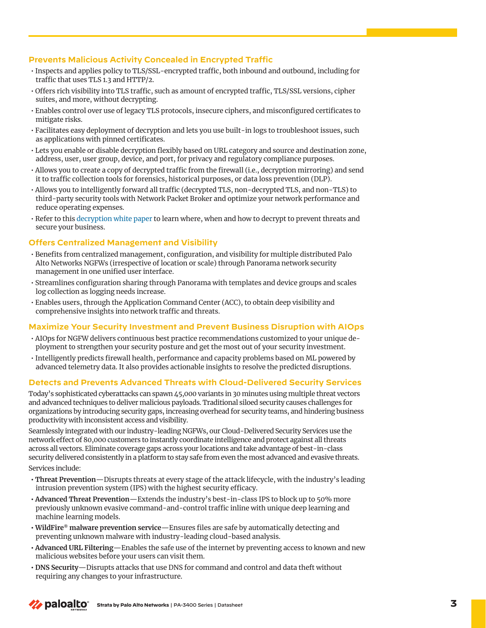#### **Prevents Malicious Activity Concealed in Encrypted Traffic**

- Inspects and applies policy to TLS/SSL-encrypted traffic, both inbound and outbound, including for traffic that uses TLS 1.3 and HTTP/2.
- Offers rich visibility into TLS traffic, such as amount of encrypted traffic, TLS/SSL versions, cipher suites, and more, without decrypting.
- Enables control over use of legacy TLS protocols, insecure ciphers, and misconfigured certificates to mitigate risks.
- Facilitates easy deployment of decryption and lets you use built-in logs to troubleshoot issues, such as applications with pinned certificates.
- Lets you enable or disable decryption flexibly based on URL category and source and destination zone, address, user, user group, device, and port, for privacy and regulatory compliance purposes.
- Allows you to create a copy of decrypted traffic from the firewall (i.e., decryption mirroring) and send it to traffic collection tools for forensics, historical purposes, or data loss prevention (DLP).
- Allows you to intelligently forward all traffic (decrypted TLS, non-decrypted TLS, and non-TLS) to third-party security tools with Network Packet Broker and optimize your network performance and reduce operating expenses.
- Refer to thi[s decryption white paper to](https://www.paloaltonetworks.com/resources/whitepapers/decryption-why-where-and-how) learn where, when and how to decrypt to prevent threats and secure your business.

#### **Offers Centralized Management and Visibility**

- Benefits from centralized management, configuration, and visibility for multiple distributed Palo Alto Networks NGFWs (irrespective of location or scale) through Panorama network security management in one unified user interface.
- Streamlines configuration sharing through Panorama with templates and device groups and scales log collection as logging needs increase.
- Enables users, through the Application Command Center (ACC), to obtain deep visibility and comprehensive insights into network traffic and threats.

#### **Maximize Your Security Investment and Prevent Business Disruption with AIOps**

- AIOps for NGFW delivers continuous best practice recommendations customized to your unique deployment to strengthen your security posture and get the most out of your security investment.
- Intelligently predicts firewall health, performance and capacity problems based on ML powered by advanced telemetry data. It also provides actionable insights to resolve the predicted disruptions.

#### **Detects and Prevents Advanced Threats with Cloud-Delivered Security Services**

Today's sophisticated cyberattacks can spawn 45,000 variants in 30 minutes using multiple threat vectors and advanced techniques to deliver malicious payloads. Traditional siloed security causes challenges for organizations by introducing security gaps, increasing overhead for security teams, and hindering business productivity with inconsistent access and visibility.

Seamlessly integrated with our industry-leading NGFWs, our Cloud-Delivered Security Services use the network effect of 80,000 customers to instantly coordinate intelligence and protect against all threats across all vectors. Eliminate coverage gaps across your locations and take advantage of best-in-class security delivered consistently in a platform to stay safe from even the most advanced and evasive threats.

Services include:

- **Threat Prevention**—Disrupts threats at every stage of the attack lifecycle, with the industry's leading intrusion prevention system (IPS) with the highest security efficacy.
- **Advanced Threat Prevention**—Extends the industry's best-in-class IPS to block up to 50% more previously unknown evasive command-and-control traffic inline with unique deep learning and machine learning models.
- **WildFire® malware prevention service**—Ensures files are safe by automatically detecting and preventing unknown malware with industry-leading cloud-based analysis.
- **Advanced URL Filtering**—Enables the safe use of the internet by preventing access to known and new malicious websites before your users can visit them.
- **DNS Security**—Disrupts attacks that use DNS for command and control and data theft without requiring any changes to your infrastructure.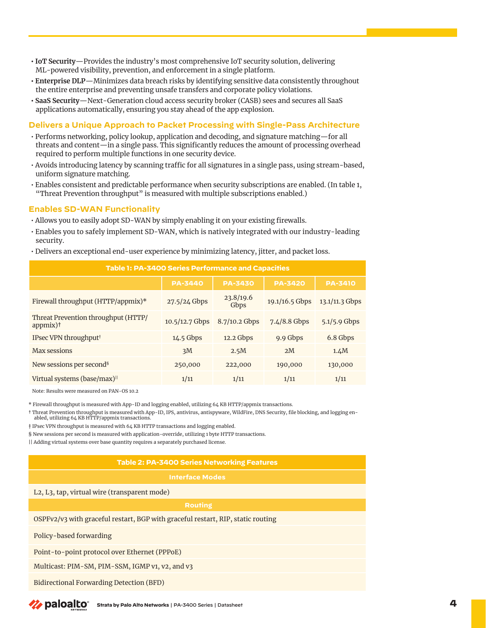- **IoT Security**—Provides the industry's most comprehensive IoT security solution, delivering ML-powered visibility, prevention, and enforcement in a single platform.
- **Enterprise DLP**—Minimizes data breach risks by identifying sensitive data consistently throughout the entire enterprise and preventing unsafe transfers and corporate policy violations.
- **SaaS Security**—Next-Generation cloud access security broker (CASB) sees and secures all SaaS applications automatically, ensuring you stay ahead of the app explosion.

#### **Delivers a Unique Approach to Packet Processing with Single-Pass Architecture**

- Performs networking, policy lookup, application and decoding, and signature matching—for all threats and content—in a single pass. This significantly reduces the amount of processing overhead required to perform multiple functions in one security device.
- Avoids introducing latency by scanning traffic for all signatures in a single pass, using stream-based, uniform signature matching.
- Enables consistent and predictable performance when security subscriptions are enabled. (In table 1, "Threat Prevention throughput" is measured with multiple subscriptions enabled.)

#### **Enables SD-WAN Functionality**

- Allows you to easily adopt SD-WAN by simply enabling it on your existing firewalls.
- Enables you to safely implement SD-WAN, which is natively integrated with our industry-leading security.
- Delivers an exceptional end-user experience by minimizing latency, jitter, and packet loss.

| Table 1: PA-3400 Series Performance and Capacities |                |                   |                |                |
|----------------------------------------------------|----------------|-------------------|----------------|----------------|
|                                                    | <b>PA-3440</b> | <b>PA-3430</b>    | <b>PA-3420</b> | <b>PA-3410</b> |
| Firewall throughput (HTTP/appmix)*                 | 27.5/24 Gbps   | 23.8/19.6<br>Gbps | 19.1/16.5 Gbps | 13.1/11.3 Gbps |
| Threat Prevention throughput (HTTP/<br>$appmix$ )† | 10.5/12.7 Gbps | 8.7/10.2 Gbps     | $7.4/8.8$ Gbps | $5.1/5.9$ Gbps |
| IPsec VPN throughput <sup>#</sup>                  | 14.5 Gbps      | $12.2$ Gbps       | 9.9 Gbps       | 6.8 Gbps       |
| <b>Max sessions</b>                                | 3M             | 2.5M              | 2M             | 1.4M           |
| New sessions per second <sup>§</sup>               | 250,000        | 222,000           | 190,000        | 130,000        |
| Virtual systems (base/max) <sup>11</sup>           | 1/11           | 1/11              | 1/11           | 1/11           |

Note: Results were measured on PAN-OS 10.2

\* Firewall throughput is measured with App-ID and logging enabled, utilizing 64 KB HTTP/appmix transactions.

† Threat Prevention throughput is measured with App-ID, IPS, antivirus, antispyware, WildFire, DNS Security, file blocking, and logging enabled, utilizing 64 KB HTTP/appmix transactions

‡ IPsec VPN throughput is measured with 64 KB HTTP transactions and logging enabled.

§ New sessions per second is measured with application-override, utilizing 1 byte HTTP transactions.

|| Adding virtual systems over base quantity requires a separately purchased license.

#### **Table 2: PA-3400 Series Networking Features**

#### **Interface Modes**

L2, L3, tap, virtual wire (transparent mode)

OSPFv2/v3 with graceful restart, BGP with graceful restart, RIP, static routing

Policy-based forwarding

Point-to-point protocol over Ethernet (PPPoE)

Multicast: PIM-SM, PIM-SSM, IGMP v1, v2, and v3

Bidirectional Forwarding Detection (BFD)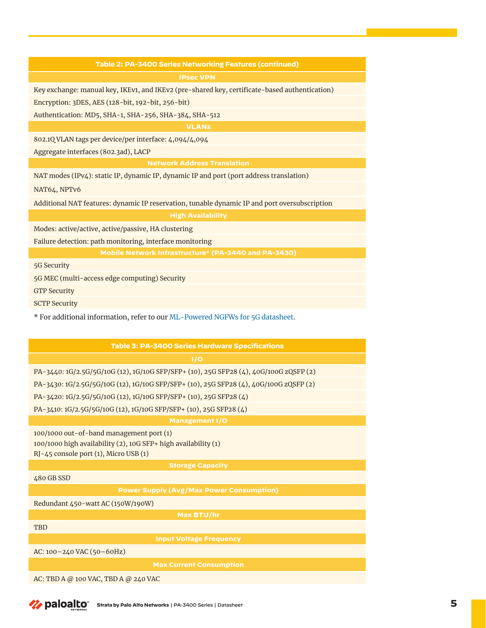#### **Table 2: PA-3400 Series Networking Features (continued)**

Key exchange: manual key, IKEv1, and IKEv2 (pre-shared key, certificate-based authentication)

Encryption: 3DES, AES (128-bit, 192-bit, 256-bit)

Authentication: MD5, SHA-1, SHA-256, SHA-384, SHA-512

**VLANs**

802.1Q VLAN tags per device/per interface: 4,094/4,094

Aggregate interfaces (802.3ad), LACP

**Network Address Translation**

NAT modes (IPv4): static IP, dynamic IP, dynamic IP and port (port address translation)

NAT64, NPTv6

Additional NAT features: dynamic IP reservation, tunable dynamic IP and port oversubscription

Modes: active/active, active/passive, HA clustering

Failure detection: path monitoring, interface monitoring

5G Security

5G MEC (multi-access edge computing) Security

GTP Security

SCTP Security

\* For additional information, refer to our [ML-Powered NGFWs for 5G datasheet.](https://www.paloaltonetworks.com/resources/datasheets/ml-powered-ngfws-for-5g)

| <b>Table 3: PA-3400 Series Hardware Specifications</b>                                                                                              |  |  |  |
|-----------------------------------------------------------------------------------------------------------------------------------------------------|--|--|--|
| 1/O                                                                                                                                                 |  |  |  |
| PA-3440: 1G/2.5G/5G/10G (12), 1G/10G SFP/SFP+ (10), 25G SFP28 (4), 40G/100G zQSFP (2)                                                               |  |  |  |
| PA-3430: 1G/2.5G/5G/10G (12), 1G/10G SFP/SFP+ (10), 25G SFP28 (4), 40G/100G zQSFP (2)                                                               |  |  |  |
| PA-3420: 1G/2.5G/5G/10G (12), 1G/10G SFP/SFP+ (10), 25G SFP28 (4)                                                                                   |  |  |  |
| PA-3410: 1G/2.5G/5G/10G (12), 1G/10G SFP/SFP+ (10), 25G SFP28 (4)                                                                                   |  |  |  |
| <b>Management I/O</b>                                                                                                                               |  |  |  |
| 100/1000 out-of-band management port (1)<br>100/1000 high availability (2), 10G SFP+ high availability (1)<br>RJ-45 console port (1), Micro USB (1) |  |  |  |
| <b>Storage Capacity</b>                                                                                                                             |  |  |  |
| 480 GB SSD                                                                                                                                          |  |  |  |
| <b>Power Supply (Avg/Max Power Consumption)</b>                                                                                                     |  |  |  |
| Redundant 450-watt AC (150W/190W)                                                                                                                   |  |  |  |
| Max BTU/hr                                                                                                                                          |  |  |  |
| <b>TBD</b>                                                                                                                                          |  |  |  |
| <b>Input Voltage Frequency</b>                                                                                                                      |  |  |  |
| AC: 100-240 VAC (50-60Hz)                                                                                                                           |  |  |  |
| <b>Max Current Consumption</b>                                                                                                                      |  |  |  |
| AC: TBD A @ 100 VAC, TBD A @ 240 VAC                                                                                                                |  |  |  |